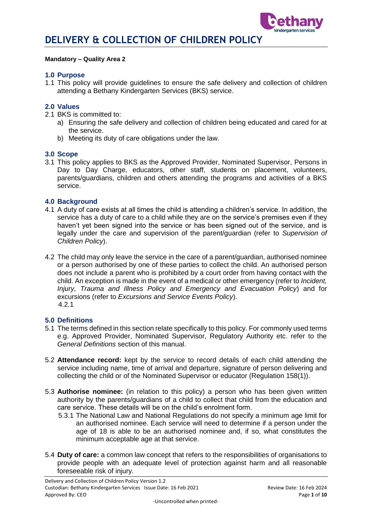

#### **Mandatory – Quality Area 2**

#### **1.0 Purpose**

1.1 This policy will provide guidelines to ensure the safe delivery and collection of children attending a Bethany Kindergarten Services (BKS) service.

#### **2.0 Values**

- 2.1 BKS is committed to:
	- a) Ensuring the safe delivery and collection of children being educated and cared for at the service.
	- b) Meeting its duty of care obligations under the law.

#### **3.0 Scope**

3.1 This policy applies to BKS as the Approved Provider, Nominated Supervisor, Persons in Day to Day Charge, educators, other staff, students on placement, volunteers, parents/guardians, children and others attending the programs and activities of a BKS service.

#### **4.0 Background**

- 4.1 A duty of care exists at all times the child is attending a children's service. In addition, the service has a duty of care to a child while they are on the service's premises even if they haven't yet been signed into the service or has been signed out of the service, and is legally under the care and supervision of the parent/guardian (refer to *Supervision of Children Policy*).
- 4.2 The child may only leave the service in the care of a parent/guardian, authorised nominee or a person authorised by one of these parties to collect the child. An authorised person does not include a parent who is prohibited by a court order from having contact with the child. An exception is made in the event of a medical or other emergency (refer to *Incident, Injury, Trauma and Illness Policy and Emergency and Evacuation Policy*) and for excursions (refer to *Excursions and Service Events Policy*). 4.2.1

#### **5.0 Definitions**

- 5.1 The terms defined in this section relate specifically to this policy. For commonly used terms e.g. Approved Provider, Nominated Supervisor, Regulatory Authority etc. refer to the *General Definitions* section of this manual.
- 5.2 **Attendance record:** kept by the service to record details of each child attending the service including name, time of arrival and departure, signature of person delivering and collecting the child or of the Nominated Supervisor or educator (Regulation 158(1)).
- 5.3 **Authorise nominee:** (in relation to this policy) a person who has been given written authority by the parents/guardians of a child to collect that child from the education and care service. These details will be on the child's enrolment form.
	- 5.3.1 The National Law and National Regulations do not specify a minimum age limit for an authorised nominee. Each service will need to determine if a person under the age of 18 is able to be an authorised nominee and, if so, what constitutes the minimum acceptable age at that service.
- 5.4 **Duty of care:** a common law concept that refers to the responsibilities of organisations to provide people with an adequate level of protection against harm and all reasonable foreseeable risk of injury.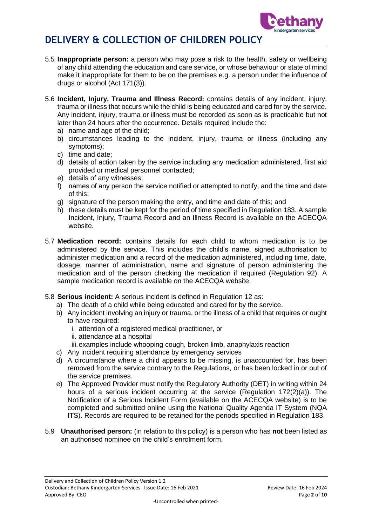

- 5.5 **Inappropriate person:** a person who may pose a risk to the health, safety or wellbeing of any child attending the education and care service, or whose behaviour or state of mind make it inappropriate for them to be on the premises e.g. a person under the influence of drugs or alcohol (Act 171(3)).
- 5.6 **Incident, Injury, Trauma and Illness Record:** contains details of any incident, injury, trauma or illness that occurs while the child is being educated and cared for by the service. Any incident, injury, trauma or illness must be recorded as soon as is practicable but not later than 24 hours after the occurrence. Details required include the:
	- a) name and age of the child;
	- b) circumstances leading to the incident, injury, trauma or illness (including any symptoms);
	- c) time and date;
	- d) details of action taken by the service including any medication administered, first aid provided or medical personnel contacted;
	- e) details of any witnesses;
	- f) names of any person the service notified or attempted to notify, and the time and date of this;
	- g) signature of the person making the entry, and time and date of this; and
	- h) these details must be kept for the period of time specified in Regulation 183. A sample Incident, Injury, Trauma Record and an Illness Record is available on the ACECQA website.
- 5.7 **Medication record:** contains details for each child to whom medication is to be administered by the service. This includes the child's name, signed authorisation to administer medication and a record of the medication administered, including time, date, dosage, manner of administration, name and signature of person administering the medication and of the person checking the medication if required (Regulation 92). A sample medication record is available on the ACECQA website.
- 5.8 **Serious incident:** A serious incident is defined in Regulation 12 as:
	- a) The death of a child while being educated and cared for by the service.
	- b) Any incident involving an injury or trauma, or the illness of a child that requires or ought to have required:
		- i. attention of a registered medical practitioner, or
		- ii. attendance at a hospital
		- iii.examples include whooping cough, broken limb, anaphylaxis reaction
	- c) Any incident requiring attendance by emergency services
	- d) A circumstance where a child appears to be missing, is unaccounted for, has been removed from the service contrary to the Regulations, or has been locked in or out of the service premises.
	- e) The Approved Provider must notify the Regulatory Authority (DET) in writing within 24 hours of a serious incident occurring at the service (Regulation 172(2)(a)). The Notification of a Serious Incident Form (available on the ACECQA website) is to be completed and submitted online using the National Quality Agenda IT System (NQA ITS). Records are required to be retained for the periods specified in Regulation 183.
- 5.9 **Unauthorised person:** (in relation to this policy) is a person who has **not** been listed as an authorised nominee on the child's enrolment form.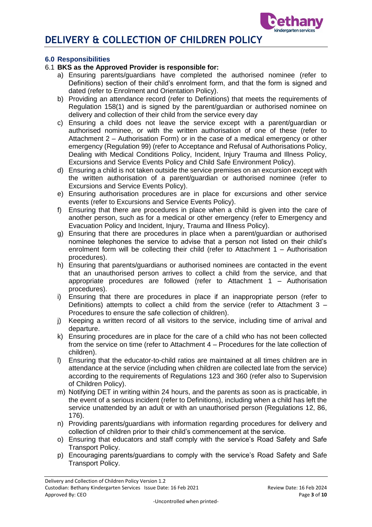

### **6.0 Responsibilities**

### 6.1 **BKS as the Approved Provider is responsible for:**

- a) Ensuring parents/guardians have completed the authorised nominee (refer to Definitions) section of their child's enrolment form, and that the form is signed and dated (refer to Enrolment and Orientation Policy).
- b) Providing an attendance record (refer to Definitions) that meets the requirements of Regulation 158(1) and is signed by the parent/guardian or authorised nominee on delivery and collection of their child from the service every day
- c) Ensuring a child does not leave the service except with a parent/guardian or authorised nominee, or with the written authorisation of one of these (refer to Attachment 2 – Authorisation Form) or in the case of a medical emergency or other emergency (Regulation 99) (refer to Acceptance and Refusal of Authorisations Policy, Dealing with Medical Conditions Policy, Incident, Injury Trauma and Illness Policy, Excursions and Service Events Policy and Child Safe Environment Policy).
- d) Ensuring a child is not taken outside the service premises on an excursion except with the written authorisation of a parent/guardian or authorised nominee (refer to Excursions and Service Events Policy).
- e) Ensuring authorisation procedures are in place for excursions and other service events (refer to Excursions and Service Events Policy).
- f) Ensuring that there are procedures in place when a child is given into the care of another person, such as for a medical or other emergency (refer to Emergency and Evacuation Policy and Incident, Injury, Trauma and Illness Policy).
- g) Ensuring that there are procedures in place when a parent/guardian or authorised nominee telephones the service to advise that a person not listed on their child's enrolment form will be collecting their child (refer to Attachment 1 – Authorisation procedures).
- h) Ensuring that parents/guardians or authorised nominees are contacted in the event that an unauthorised person arrives to collect a child from the service, and that appropriate procedures are followed (refer to Attachment 1 – Authorisation procedures).
- i) Ensuring that there are procedures in place if an inappropriate person (refer to Definitions) attempts to collect a child from the service (refer to Attachment 3 – Procedures to ensure the safe collection of children).
- j) Keeping a written record of all visitors to the service, including time of arrival and departure.
- k) Ensuring procedures are in place for the care of a child who has not been collected from the service on time (refer to Attachment 4 – Procedures for the late collection of children).
- l) Ensuring that the educator-to-child ratios are maintained at all times children are in attendance at the service (including when children are collected late from the service) according to the requirements of Regulations 123 and 360 (refer also to Supervision of Children Policy).
- m) Notifying DET in writing within 24 hours, and the parents as soon as is practicable, in the event of a serious incident (refer to Definitions), including when a child has left the service unattended by an adult or with an unauthorised person (Regulations 12, 86, 176).
- n) Providing parents/guardians with information regarding procedures for delivery and collection of children prior to their child's commencement at the service.
- o) Ensuring that educators and staff comply with the service's Road Safety and Safe Transport Policy.
- p) Encouraging parents/guardians to comply with the service's Road Safety and Safe Transport Policy.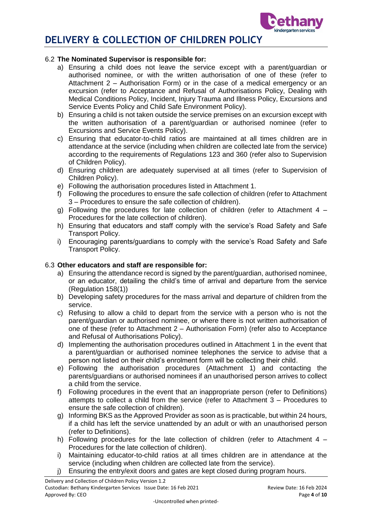

### 6.2 **The Nominated Supervisor is responsible for:**

- a) Ensuring a child does not leave the service except with a parent/guardian or authorised nominee, or with the written authorisation of one of these (refer to Attachment 2 – Authorisation Form) or in the case of a medical emergency or an excursion (refer to Acceptance and Refusal of Authorisations Policy, Dealing with Medical Conditions Policy, Incident, Injury Trauma and Illness Policy, Excursions and Service Events Policy and Child Safe Environment Policy).
- b) Ensuring a child is not taken outside the service premises on an excursion except with the written authorisation of a parent/guardian or authorised nominee (refer to Excursions and Service Events Policy).
- c) Ensuring that educator-to-child ratios are maintained at all times children are in attendance at the service (including when children are collected late from the service) according to the requirements of Regulations 123 and 360 (refer also to Supervision of Children Policy).
- d) Ensuring children are adequately supervised at all times (refer to Supervision of Children Policy).
- e) Following the authorisation procedures listed in Attachment 1.
- f) Following the procedures to ensure the safe collection of children (refer to Attachment 3 – Procedures to ensure the safe collection of children).
- g) Following the procedures for late collection of children (refer to Attachment  $4 -$ Procedures for the late collection of children).
- h) Ensuring that educators and staff comply with the service's Road Safety and Safe Transport Policy.
- i) Encouraging parents/guardians to comply with the service's Road Safety and Safe Transport Policy.

### 6.3 **Other educators and staff are responsible for:**

- a) Ensuring the attendance record is signed by the parent/guardian, authorised nominee, or an educator, detailing the child's time of arrival and departure from the service (Regulation 158(1))
- b) Developing safety procedures for the mass arrival and departure of children from the service.
- c) Refusing to allow a child to depart from the service with a person who is not the parent/guardian or authorised nominee, or where there is not written authorisation of one of these (refer to Attachment 2 – Authorisation Form) (refer also to Acceptance and Refusal of Authorisations Policy).
- d) Implementing the authorisation procedures outlined in Attachment 1 in the event that a parent/guardian or authorised nominee telephones the service to advise that a person not listed on their child's enrolment form will be collecting their child.
- e) Following the authorisation procedures (Attachment 1) and contacting the parents/guardians or authorised nominees if an unauthorised person arrives to collect a child from the service.
- f) Following procedures in the event that an inappropriate person (refer to Definitions) attempts to collect a child from the service (refer to Attachment 3 – Procedures to ensure the safe collection of children).
- g) Informing BKS as the Approved Provider as soon as is practicable, but within 24 hours, if a child has left the service unattended by an adult or with an unauthorised person (refer to Definitions).
- h) Following procedures for the late collection of children (refer to Attachment 4 Procedures for the late collection of children).
- i) Maintaining educator-to-child ratios at all times children are in attendance at the service (including when children are collected late from the service).
- j) Ensuring the entry/exit doors and gates are kept closed during program hours.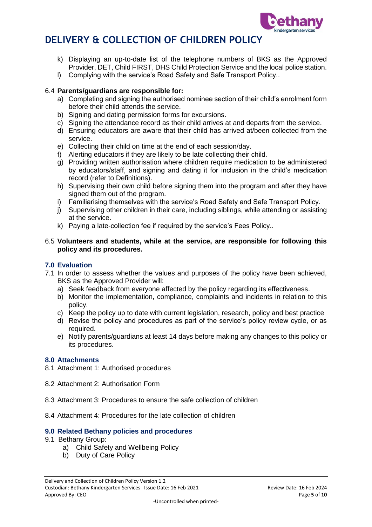

- k) Displaying an up-to-date list of the telephone numbers of BKS as the Approved Provider, DET, Child FIRST, DHS Child Protection Service and the local police station.
- l) Complying with the service's Road Safety and Safe Transport Policy..

### 6.4 **Parents/guardians are responsible for:**

- a) Completing and signing the authorised nominee section of their child's enrolment form before their child attends the service.
- b) Signing and dating permission forms for excursions.
- c) Signing the attendance record as their child arrives at and departs from the service.
- d) Ensuring educators are aware that their child has arrived at/been collected from the service.
- e) Collecting their child on time at the end of each session/day.
- f) Alerting educators if they are likely to be late collecting their child.
- g) Providing written authorisation where children require medication to be administered by educators/staff, and signing and dating it for inclusion in the child's medication record (refer to Definitions).
- h) Supervising their own child before signing them into the program and after they have signed them out of the program.
- i) Familiarising themselves with the service's Road Safety and Safe Transport Policy.
- j) Supervising other children in their care, including siblings, while attending or assisting at the service.
- k) Paying a late-collection fee if required by the service's Fees Policy..
- 6.5 **Volunteers and students, while at the service, are responsible for following this policy and its procedures.**

#### **7.0 Evaluation**

- 7.1 In order to assess whether the values and purposes of the policy have been achieved, BKS as the Approved Provider will:
	- a) Seek feedback from everyone affected by the policy regarding its effectiveness.
	- b) Monitor the implementation, compliance, complaints and incidents in relation to this policy.
	- c) Keep the policy up to date with current legislation, research, policy and best practice
	- d) Revise the policy and procedures as part of the service's policy review cycle, or as required.
	- e) Notify parents/guardians at least 14 days before making any changes to this policy or its procedures.

#### **8.0 Attachments**

- 8.1 Attachment 1: Authorised procedures
- 8.2 Attachment 2: Authorisation Form
- 8.3 Attachment 3: Procedures to ensure the safe collection of children
- 8.4 Attachment 4: Procedures for the late collection of children

### **9.0 Related Bethany policies and procedures**

- 9.1 Bethany Group:
	- a) Child Safety and Wellbeing Policy
	- b) Duty of Care Policy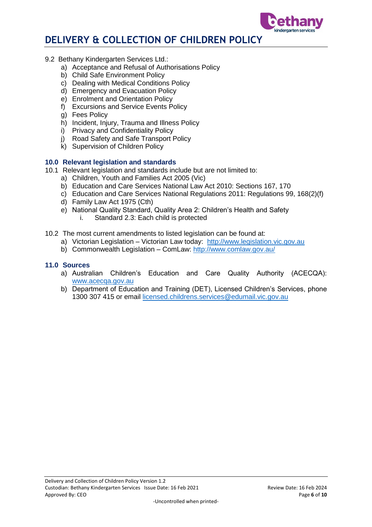

- 9.2 Bethany Kindergarten Services Ltd.:
	- a) Acceptance and Refusal of Authorisations Policy
	- b) Child Safe Environment Policy
	- c) Dealing with Medical Conditions Policy
	- d) Emergency and Evacuation Policy
	- e) Enrolment and Orientation Policy
	- f) Excursions and Service Events Policy
	- g) Fees Policy
	- h) Incident, Injury, Trauma and Illness Policy
	- i) Privacy and Confidentiality Policy
	- j) Road Safety and Safe Transport Policy
	- k) Supervision of Children Policy

### **10.0 Relevant legislation and standards**

- 10.1 Relevant legislation and standards include but are not limited to:
	- a) Children, Youth and Families Act 2005 (Vic)
	- b) Education and Care Services National Law Act 2010: Sections 167, 170
	- c) Education and Care Services National Regulations 2011: Regulations 99, 168(2)(f)
	- d) Family Law Act 1975 (Cth)
	- e) National Quality Standard, Quality Area 2: Children's Health and Safety
		- i. Standard 2.3: Each child is protected
- 10.2 The most current amendments to listed legislation can be found at:
	- a) Victorian Legislation Victorian Law today: [http://www.legislation.vic.gov.au](http://www.legislation.vic.gov.au/)
	- b) Commonwealth Legislation ComLaw:<http://www.comlaw.gov.au/>

#### **11.0 Sources**

- a) Australian Children's Education and Care Quality Authority (ACECQA): [www.acecqa.gov.au](http://www.acecqa.gov.au/)
- b) Department of Education and Training (DET), Licensed Children's Services, phone 1300 307 415 or email [licensed.childrens.services@edumail.vic.gov.au](mailto:licensed.childrens.services@edumail.vic.gov.au)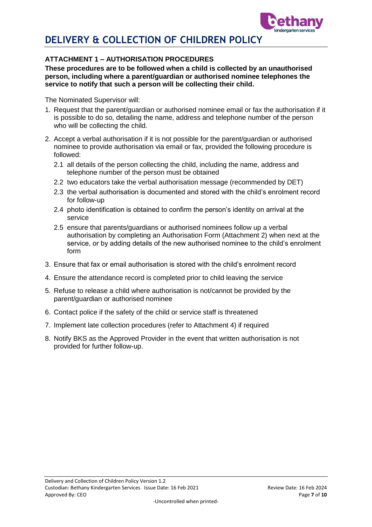

## **ATTACHMENT 1 – AUTHORISATION PROCEDURES**

**These procedures are to be followed when a child is collected by an unauthorised person, including where a parent/guardian or authorised nominee telephones the service to notify that such a person will be collecting their child.**

The Nominated Supervisor will:

- 1. Request that the parent/guardian or authorised nominee email or fax the authorisation if it is possible to do so, detailing the name, address and telephone number of the person who will be collecting the child.
- 2. Accept a verbal authorisation if it is not possible for the parent/guardian or authorised nominee to provide authorisation via email or fax, provided the following procedure is followed:
	- 2.1 all details of the person collecting the child, including the name, address and telephone number of the person must be obtained
	- 2.2 two educators take the verbal authorisation message (recommended by DET)
	- 2.3 the verbal authorisation is documented and stored with the child's enrolment record for follow-up
	- 2.4 photo identification is obtained to confirm the person's identity on arrival at the service
	- 2.5 ensure that parents/guardians or authorised nominees follow up a verbal authorisation by completing an Authorisation Form (Attachment 2) when next at the service, or by adding details of the new authorised nominee to the child's enrolment form
- 3. Ensure that fax or email authorisation is stored with the child's enrolment record
- 4. Ensure the attendance record is completed prior to child leaving the service
- 5. Refuse to release a child where authorisation is not/cannot be provided by the parent/guardian or authorised nominee
- 6. Contact police if the safety of the child or service staff is threatened
- 7. Implement late collection procedures (refer to Attachment 4) if required
- 8. Notify BKS as the Approved Provider in the event that written authorisation is not provided for further follow-up.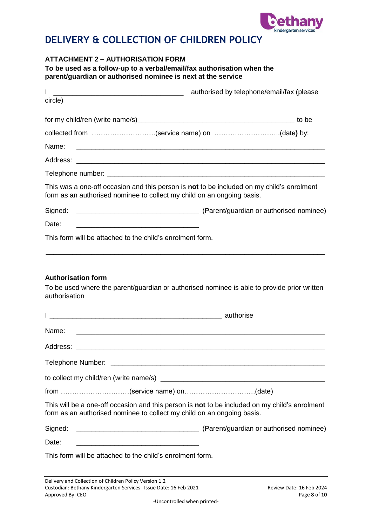

## **ATTACHMENT 2 – AUTHORISATION FORM**

**To be used as a follow-up to a verbal/email/fax authorisation when the parent/guardian or authorised nominee is next at the service**

| L                                                                      | authorised by telephone/email/fax (please                                                     |
|------------------------------------------------------------------------|-----------------------------------------------------------------------------------------------|
| circle)                                                                |                                                                                               |
|                                                                        |                                                                                               |
|                                                                        | collected from (service name) on (date) by:                                                   |
| Name:                                                                  | <u> 1989 - Johann John Stone, mars and deutscher Stone (1989)</u>                             |
|                                                                        |                                                                                               |
|                                                                        |                                                                                               |
| form as an authorised nominee to collect my child on an ongoing basis. | This was a one-off occasion and this person is not to be included on my child's enrolment     |
|                                                                        |                                                                                               |
| Date:                                                                  |                                                                                               |
| This form will be attached to the child's enrolment form.              |                                                                                               |
| authorisation                                                          | To be used where the parent/guardian or authorised nominee is able to provide prior written   |
| Name:                                                                  |                                                                                               |
|                                                                        |                                                                                               |
| Telephone Number:                                                      | <u> 2000 - Jan Alexander (h. 1888).</u><br>1900 - Johann Alexander (h. 1800).                 |
|                                                                        |                                                                                               |
| from (service name) on(date)                                           |                                                                                               |
| form as an authorised nominee to collect my child on an ongoing basis. | This will be a one-off occasion and this person is not to be included on my child's enrolment |
| Signed:                                                                |                                                                                               |
| Date:                                                                  |                                                                                               |
| This form will be attached to the child's enrolment form.              |                                                                                               |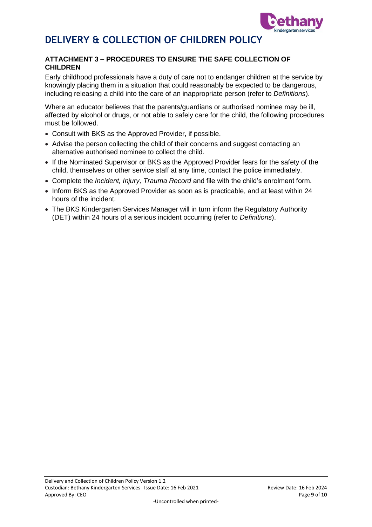

### **ATTACHMENT 3 – PROCEDURES TO ENSURE THE SAFE COLLECTION OF CHILDREN**

Early childhood professionals have a duty of care not to endanger children at the service by knowingly placing them in a situation that could reasonably be expected to be dangerous, including releasing a child into the care of an inappropriate person (refer to *Definitions*).

Where an educator believes that the parents/guardians or authorised nominee may be ill, affected by alcohol or drugs, or not able to safely care for the child, the following procedures must be followed.

- Consult with BKS as the Approved Provider, if possible.
- Advise the person collecting the child of their concerns and suggest contacting an alternative authorised nominee to collect the child.
- If the Nominated Supervisor or BKS as the Approved Provider fears for the safety of the child, themselves or other service staff at any time, contact the police immediately.
- Complete the *Incident, Injury, Trauma Record* and file with the child's enrolment form.
- Inform BKS as the Approved Provider as soon as is practicable, and at least within 24 hours of the incident.
- The BKS Kindergarten Services Manager will in turn inform the Regulatory Authority (DET) within 24 hours of a serious incident occurring (refer to *Definitions*).